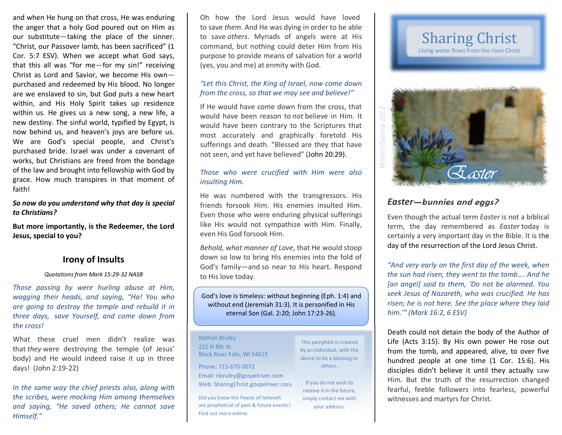and when He hung on that cross, He was enduring the anger that a holy God poured out on Him as our substitute—taking the place of the sinner. "Christ, our Passover lamb, has been sacrificed" (1 Cor. 5:7 ESV). When we accept what God says, that this all was "for me—for my sin!" receiving Christ as Lord and Savior, we become His own— purchased and redeemed by His blood. No longer are we enslaved to sin, but God puts a new heart within, and His Holy Spirit takes up residence within us. He gives us a new song, a new life, a new destiny. The sinful world, typified by Egypt, is now behind us, and heaven's joys are before us. We are God's special people, and Christ's purchased bride. Israel was under a covenant of works, but Christians are freed from the bondage of the law and brought into fellowship with God by grace. How much transpires in that moment of faith!

### *So now do you understand why that day is special to Christians?*

**But more importantly, is the Redeemer, the Lord Jesus, special to you?**

## **Irony of Insults**

#### *Quotations from Mark 15:29-32 NASB*

*Those passing by were hurling abuse at Him, wagging their heads, and saying, "Ha! You who are going to destroy the temple and rebuild it in three days, save Yourself, and come down from the cross!*

What these cruel men didn't realize was that *they* were destroying the temple (of Jesus' body) and He would indeed raise it up in three days! (John 2:19-22)

*In the same way the chief priests also, along with the scribes, were mocking Him among themselves and saying, "He saved others; He cannot save Himself."*

Oh how the Lord Jesus would have loved.to save *them*. And He was dying in order to be able to save *others*. Myriads of angels were at His command, but nothing could deter Him from His purpose to provide means of salvation for a world (yes, you and me) at enmity with God.

### *"Let this Christ, the King of Israel, now come downfrom the cross, so that we may see and believe!"*

If He would have come down from the cross, that would have been reason to *not* believe in Him. It would have been contrary to the Scriptures that most accurately and graphically foretold His sufferings and death. "Blessed are they that have not seen, and yet have believed" (John 20:29).

### *Those who were crucified with Him were also insulting Him.*

He was numbered with the transgressors. His friends forsook Him. His enemies insulted Him. Even those who were enduring physical sufferings like His would not sympathize with Him. Finally, even His God forsook Him.

*Behold, what manner of Love*, that He would stoop down so low to bring His enemies into the fold of God's family—and so near to His heart. Respond to His love today.

God's love is timeless: without beginning (Eph. 1:4) and without end (Jeremiah 31:3). It is personified in His eternal Son (Gal. 2:20; John 17:23-26).

Nathan Bruley221 N 8th St. Black River Falls, WI 54615

Phone: 715-670-0072 Email: nbruley@gospelriver.com Web: SharingChrist.gospelriver.com

Did you know the Feasts of Jehovah are prophetical of past & future events? Find out more online.

This pamphlet is created by an individual, with the desire to be a blessing to others.

If you do not wish to receive it in the future, simply contact me with your address.

# Sharing Christ Living water flows from the risen Christ



# *Easter—bunnies and eggs?*

Even though the actual term *Easter* is not a biblical term, the day remembered as *Easter* today is certainly a very important day in the Bible. It is the day of the resurrection of the Lord Jesus Christ.

*"And very early on the first day of the week, when the sun had risen, they went to the tomb…. And he [an angel] said to them, 'Do not be alarmed. You seek Jesus of Nazareth, who was crucified. He has risen; he is not here. See the place where they laid him.'" (Mark 16:2, 6 ESV)*

Death could not detain the body of the Author of Life (Acts 3:15). By His own power He rose out from the tomb, and appeared, alive, to over five hundred people at one time (1 Cor. 15:6). His disciples didn't believe it until they actually saw Him. But the truth of the resurrection changed fearful, feeble followers into fearless, powerful witnesses and martyrs for Christ.